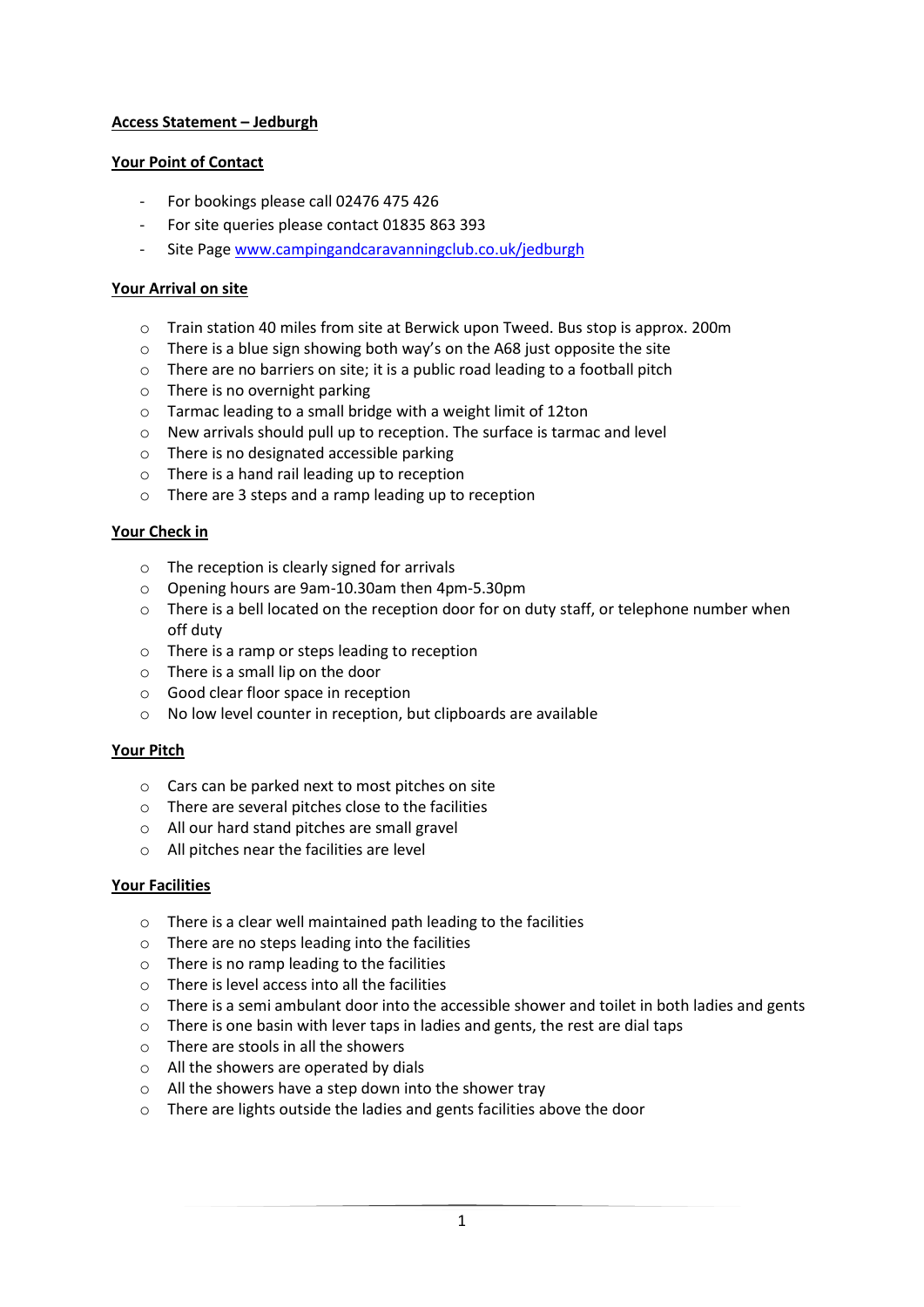# **Access Statement – Jedburgh**

## **Your Point of Contact**

- For bookings please call 02476 475 426
- For site queries please contact 01835 863 393
- Site Page www.campingandcaravanningclub.co.uk/jedburgh

# **Your Arrival on site**

- o Train station 40 miles from site at Berwick upon Tweed. Bus stop is approx. 200m
- o There is a blue sign showing both way's on the A68 just opposite the site
- $\circ$  There are no barriers on site; it is a public road leading to a football pitch
- o There is no overnight parking
- o Tarmac leading to a small bridge with a weight limit of 12ton
- o New arrivals should pull up to reception. The surface is tarmac and level
- o There is no designated accessible parking
- o There is a hand rail leading up to reception
- o There are 3 steps and a ramp leading up to reception

# **Your Check in**

- o The reception is clearly signed for arrivals
- o Opening hours are 9am-10.30am then 4pm-5.30pm
- o There is a bell located on the reception door for on duty staff, or telephone number when off duty
- o There is a ramp or steps leading to reception
- o There is a small lip on the door
- o Good clear floor space in reception
- o No low level counter in reception, but clipboards are available

### **Your Pitch**

- o Cars can be parked next to most pitches on site
- o There are several pitches close to the facilities
- o All our hard stand pitches are small gravel
- o All pitches near the facilities are level

### **Your Facilities**

- o There is a clear well maintained path leading to the facilities
- o There are no steps leading into the facilities
- o There is no ramp leading to the facilities
- o There is level access into all the facilities
- $\circ$  There is a semi ambulant door into the accessible shower and toilet in both ladies and gents
- o There is one basin with lever taps in ladies and gents, the rest are dial taps
- o There are stools in all the showers
- o All the showers are operated by dials
- o All the showers have a step down into the shower tray
- o There are lights outside the ladies and gents facilities above the door